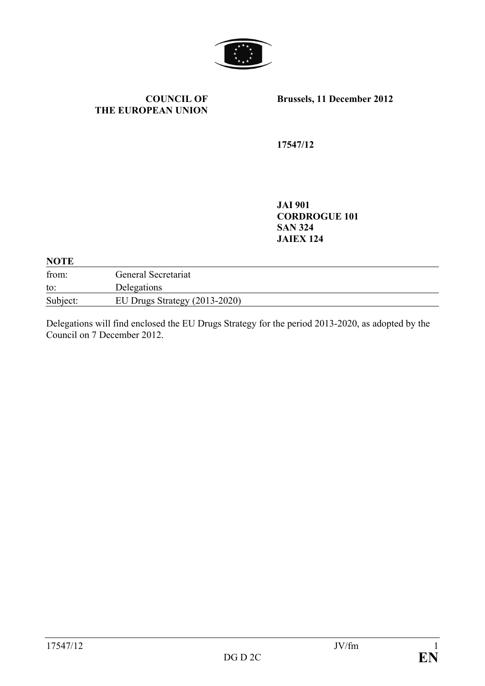

#### **COUNCIL OF THE EUROPEAN UNION**

**Brussels, 11 December 2012**

**17547/12**

**JAI 901 CORDROGUE 101 SAN 324 JAIEX 124**

#### **NOTE**

| from:    | General Secretariat             |
|----------|---------------------------------|
| to:      | Delegations                     |
| Subject: | EU Drugs Strategy $(2013-2020)$ |

Delegations will find enclosed the EU Drugs Strategy for the period 2013-2020, as adopted by the Council on 7 December 2012.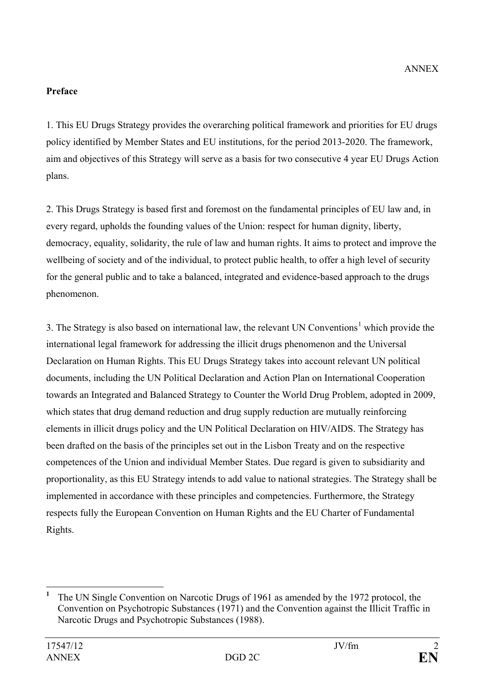# **Preface**

1. This EU Drugs Strategy provides the overarching political framework and priorities for EU drugs policy identified by Member States and EU institutions, for the period 2013-2020. The framework, aim and objectives of this Strategy will serve as a basis for two consecutive 4 year EU Drugs Action plans.

2. This Drugs Strategy is based first and foremost on the fundamental principles of EU law and, in every regard, upholds the founding values of the Union: respect for human dignity, liberty, democracy, equality, solidarity, the rule of law and human rights. It aims to protect and improve the wellbeing of society and of the individual, to protect public health, to offer a high level of security for the general public and to take a balanced, integrated and evidence-based approach to the drugs phenomenon.

3. The Strategy is also based on international law, the relevant UN Conventions<sup>[1](#page-1-0)</sup> which provide the international legal framework for addressing the illicit drugs phenomenon and the Universal Declaration on Human Rights. This EU Drugs Strategy takes into account relevant UN political documents, including the UN Political Declaration and Action Plan on International Cooperation towards an Integrated and Balanced Strategy to Counter the World Drug Problem, adopted in 2009, which states that drug demand reduction and drug supply reduction are mutually reinforcing elements in illicit drugs policy and the UN Political Declaration on HIV/AIDS. The Strategy has been drafted on the basis of the principles set out in the Lisbon Treaty and on the respective competences of the Union and individual Member States. Due regard is given to subsidiarity and proportionality, as this EU Strategy intends to add value to national strategies. The Strategy shall be implemented in accordance with these principles and competencies. Furthermore, the Strategy respects fully the European Convention on Human Rights and the EU Charter of Fundamental Rights.

<span id="page-1-0"></span>**<sup>1</sup>** The UN Single Convention on Narcotic Drugs of 1961 as amended by the 1972 protocol, the Convention on Psychotropic Substances (1971) and the Convention against the Illicit Traffic in Narcotic Drugs and Psychotropic Substances (1988).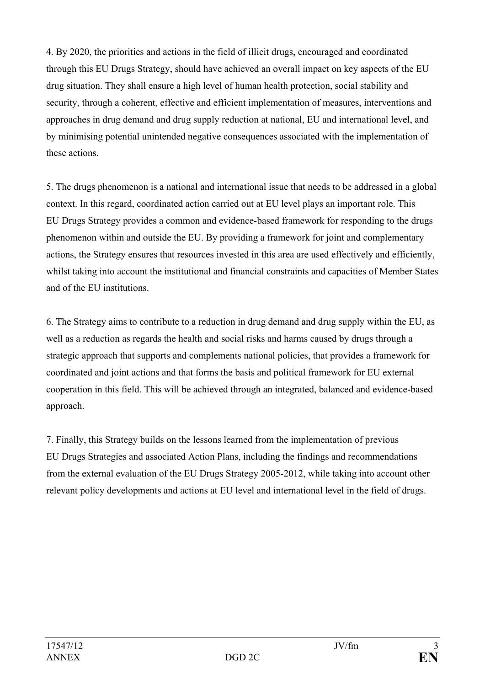4. By 2020, the priorities and actions in the field of illicit drugs, encouraged and coordinated through this EU Drugs Strategy, should have achieved an overall impact on key aspects of the EU drug situation. They shall ensure a high level of human health protection, social stability and security, through a coherent, effective and efficient implementation of measures, interventions and approaches in drug demand and drug supply reduction at national, EU and international level, and by minimising potential unintended negative consequences associated with the implementation of these actions.

5. The drugs phenomenon is a national and international issue that needs to be addressed in a global context. In this regard, coordinated action carried out at EU level plays an important role. This EU Drugs Strategy provides a common and evidence-based framework for responding to the drugs phenomenon within and outside the EU. By providing a framework for joint and complementary actions, the Strategy ensures that resources invested in this area are used effectively and efficiently, whilst taking into account the institutional and financial constraints and capacities of Member States and of the EU institutions.

6. The Strategy aims to contribute to a reduction in drug demand and drug supply within the EU, as well as a reduction as regards the health and social risks and harms caused by drugs through a strategic approach that supports and complements national policies, that provides a framework for coordinated and joint actions and that forms the basis and political framework for EU external cooperation in this field. This will be achieved through an integrated, balanced and evidence-based approach.

7. Finally, this Strategy builds on the lessons learned from the implementation of previous EU Drugs Strategies and associated Action Plans, including the findings and recommendations from the external evaluation of the EU Drugs Strategy 2005-2012, while taking into account other relevant policy developments and actions at EU level and international level in the field of drugs.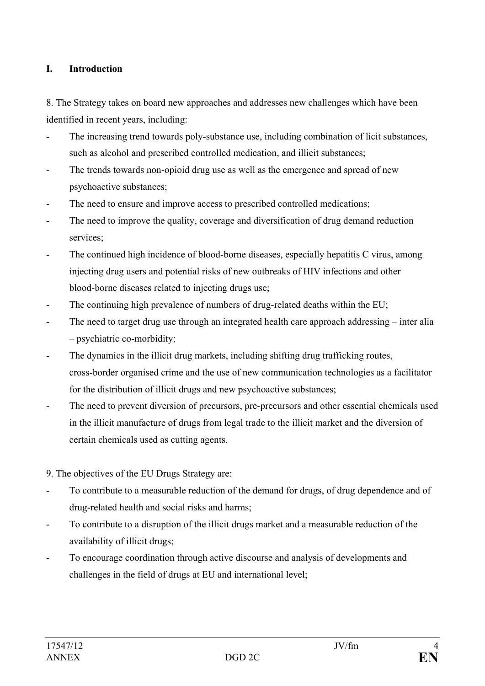### **I. Introduction**

8. The Strategy takes on board new approaches and addresses new challenges which have been identified in recent years, including:

- The increasing trend towards poly-substance use, including combination of licit substances, such as alcohol and prescribed controlled medication, and illicit substances;
- The trends towards non-opioid drug use as well as the emergence and spread of new psychoactive substances;
- The need to ensure and improve access to prescribed controlled medications;
- The need to improve the quality, coverage and diversification of drug demand reduction services;
- The continued high incidence of blood-borne diseases, especially hepatitis C virus, among injecting drug users and potential risks of new outbreaks of HIV infections and other blood-borne diseases related to injecting drugs use;
- The continuing high prevalence of numbers of drug-related deaths within the EU;
- The need to target drug use through an integrated health care approach addressing inter alia – psychiatric co-morbidity;
- The dynamics in the illicit drug markets, including shifting drug trafficking routes, cross-border organised crime and the use of new communication technologies as a facilitator for the distribution of illicit drugs and new psychoactive substances;
- The need to prevent diversion of precursors, pre-precursors and other essential chemicals used in the illicit manufacture of drugs from legal trade to the illicit market and the diversion of certain chemicals used as cutting agents.
- 9. The objectives of the EU Drugs Strategy are:
- To contribute to a measurable reduction of the demand for drugs, of drug dependence and of drug-related health and social risks and harms;
- To contribute to a disruption of the illicit drugs market and a measurable reduction of the availability of illicit drugs;
- To encourage coordination through active discourse and analysis of developments and challenges in the field of drugs at EU and international level;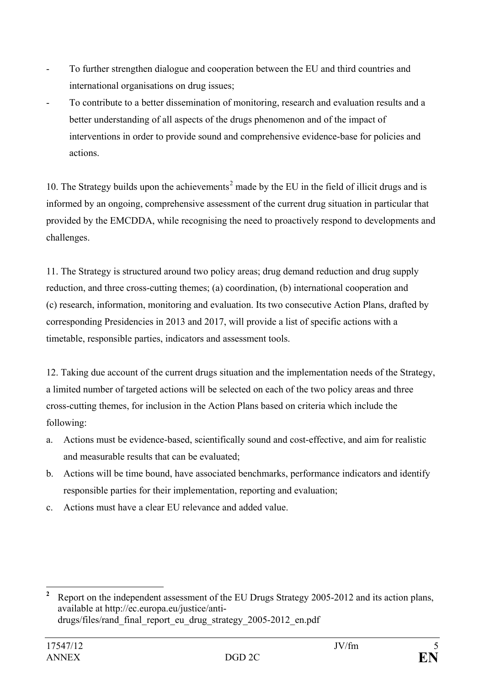- To further strengthen dialogue and cooperation between the EU and third countries and international organisations on drug issues;
- To contribute to a better dissemination of monitoring, research and evaluation results and a better understanding of all aspects of the drugs phenomenon and of the impact of interventions in order to provide sound and comprehensive evidence-base for policies and actions.

10. The Strategy builds upon the achievements<sup>[2](#page-4-0)</sup> made by the EU in the field of illicit drugs and is informed by an ongoing, comprehensive assessment of the current drug situation in particular that provided by the EMCDDA, while recognising the need to proactively respond to developments and challenges.

11. The Strategy is structured around two policy areas; drug demand reduction and drug supply reduction, and three cross-cutting themes; (a) coordination, (b) international cooperation and (c) research, information, monitoring and evaluation. Its two consecutive Action Plans, drafted by corresponding Presidencies in 2013 and 2017, will provide a list of specific actions with a timetable, responsible parties, indicators and assessment tools.

12. Taking due account of the current drugs situation and the implementation needs of the Strategy, a limited number of targeted actions will be selected on each of the two policy areas and three cross-cutting themes, for inclusion in the Action Plans based on criteria which include the following:

- a. Actions must be evidence-based, scientifically sound and cost-effective, and aim for realistic and measurable results that can be evaluated;
- b. Actions will be time bound, have associated benchmarks, performance indicators and identify responsible parties for their implementation, reporting and evaluation;
- c. Actions must have a clear EU relevance and added value.

<span id="page-4-0"></span><sup>&</sup>lt;sup>2</sup> Report on the independent assessment of the EU Drugs Strategy 2005-2012 and its action plans, available at http://ec.europa.eu/justice/antidrugs/files/rand\_final\_report\_eu\_drug\_strategy\_2005-2012\_en.pdf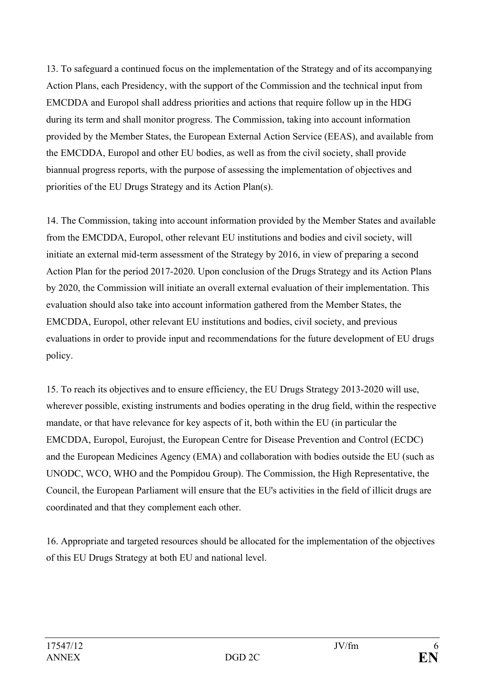13. To safeguard a continued focus on the implementation of the Strategy and of its accompanying Action Plans, each Presidency, with the support of the Commission and the technical input from EMCDDA and Europol shall address priorities and actions that require follow up in the HDG during its term and shall monitor progress. The Commission, taking into account information provided by the Member States, the European External Action Service (EEAS), and available from the EMCDDA, Europol and other EU bodies, as well as from the civil society, shall provide biannual progress reports, with the purpose of assessing the implementation of objectives and priorities of the EU Drugs Strategy and its Action Plan(s).

14. The Commission, taking into account information provided by the Member States and available from the EMCDDA, Europol, other relevant EU institutions and bodies and civil society, will initiate an external mid-term assessment of the Strategy by 2016, in view of preparing a second Action Plan for the period 2017-2020. Upon conclusion of the Drugs Strategy and its Action Plans by 2020, the Commission will initiate an overall external evaluation of their implementation. This evaluation should also take into account information gathered from the Member States, the EMCDDA, Europol, other relevant EU institutions and bodies, civil society, and previous evaluations in order to provide input and recommendations for the future development of EU drugs policy.

15. To reach its objectives and to ensure efficiency, the EU Drugs Strategy 2013-2020 will use, wherever possible, existing instruments and bodies operating in the drug field, within the respective mandate, or that have relevance for key aspects of it, both within the EU (in particular the EMCDDA, Europol, Eurojust, the European Centre for Disease Prevention and Control (ECDC) and the European Medicines Agency (EMA) and collaboration with bodies outside the EU (such as UNODC, WCO, WHO and the Pompidou Group). The Commission, the High Representative, the Council, the European Parliament will ensure that the EU's activities in the field of illicit drugs are coordinated and that they complement each other.

16. Appropriate and targeted resources should be allocated for the implementation of the objectives of this EU Drugs Strategy at both EU and national level.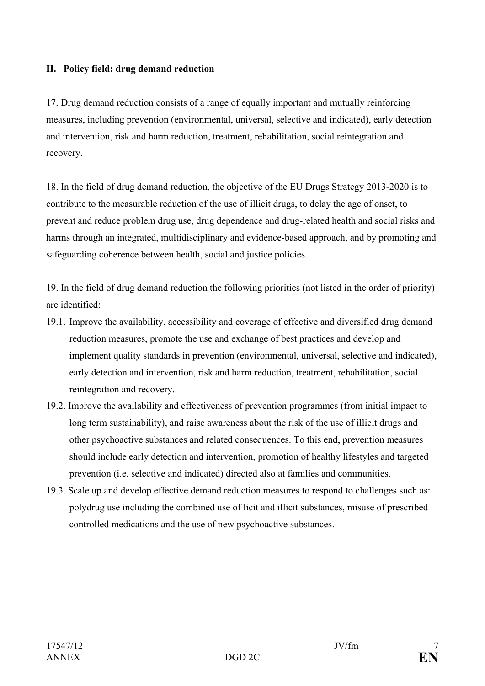### **II. Policy field: drug demand reduction**

17. Drug demand reduction consists of a range of equally important and mutually reinforcing measures, including prevention (environmental, universal, selective and indicated), early detection and intervention, risk and harm reduction, treatment, rehabilitation, social reintegration and recovery.

18. In the field of drug demand reduction, the objective of the EU Drugs Strategy 2013-2020 is to contribute to the measurable reduction of the use of illicit drugs, to delay the age of onset, to prevent and reduce problem drug use, drug dependence and drug-related health and social risks and harms through an integrated, multidisciplinary and evidence-based approach, and by promoting and safeguarding coherence between health, social and justice policies.

19. In the field of drug demand reduction the following priorities (not listed in the order of priority) are identified:

- 19.1. Improve the availability, accessibility and coverage of effective and diversified drug demand reduction measures, promote the use and exchange of best practices and develop and implement quality standards in prevention (environmental, universal, selective and indicated), early detection and intervention, risk and harm reduction, treatment, rehabilitation, social reintegration and recovery.
- 19.2. Improve the availability and effectiveness of prevention programmes (from initial impact to long term sustainability), and raise awareness about the risk of the use of illicit drugs and other psychoactive substances and related consequences. To this end, prevention measures should include early detection and intervention, promotion of healthy lifestyles and targeted prevention (i.e. selective and indicated) directed also at families and communities.
- 19.3. Scale up and develop effective demand reduction measures to respond to challenges such as: polydrug use including the combined use of licit and illicit substances, misuse of prescribed controlled medications and the use of new psychoactive substances.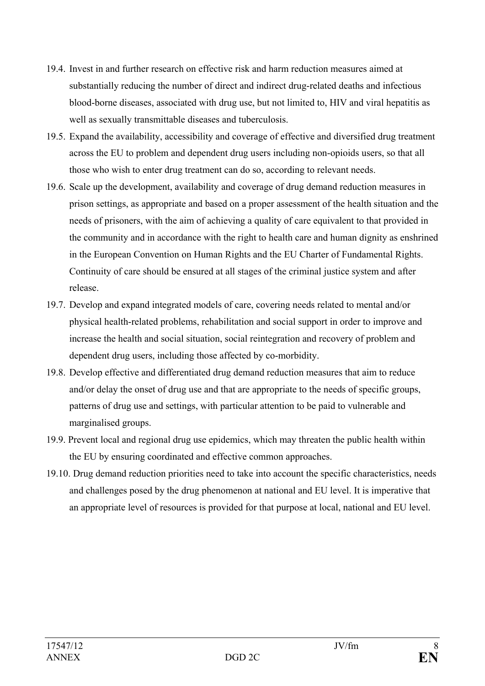- 19.4. Invest in and further research on effective risk and harm reduction measures aimed at substantially reducing the number of direct and indirect drug-related deaths and infectious blood-borne diseases, associated with drug use, but not limited to, HIV and viral hepatitis as well as sexually transmittable diseases and tuberculosis.
- 19.5. Expand the availability, accessibility and coverage of effective and diversified drug treatment across the EU to problem and dependent drug users including non-opioids users, so that all those who wish to enter drug treatment can do so, according to relevant needs.
- 19.6. Scale up the development, availability and coverage of drug demand reduction measures in prison settings, as appropriate and based on a proper assessment of the health situation and the needs of prisoners, with the aim of achieving a quality of care equivalent to that provided in the community and in accordance with the right to health care and human dignity as enshrined in the European Convention on Human Rights and the EU Charter of Fundamental Rights. Continuity of care should be ensured at all stages of the criminal justice system and after release.
- 19.7. Develop and expand integrated models of care, covering needs related to mental and/or physical health-related problems, rehabilitation and social support in order to improve and increase the health and social situation, social reintegration and recovery of problem and dependent drug users, including those affected by co-morbidity.
- 19.8. Develop effective and differentiated drug demand reduction measures that aim to reduce and/or delay the onset of drug use and that are appropriate to the needs of specific groups, patterns of drug use and settings, with particular attention to be paid to vulnerable and marginalised groups.
- 19.9. Prevent local and regional drug use epidemics, which may threaten the public health within the EU by ensuring coordinated and effective common approaches.
- 19.10. Drug demand reduction priorities need to take into account the specific characteristics, needs and challenges posed by the drug phenomenon at national and EU level. It is imperative that an appropriate level of resources is provided for that purpose at local, national and EU level.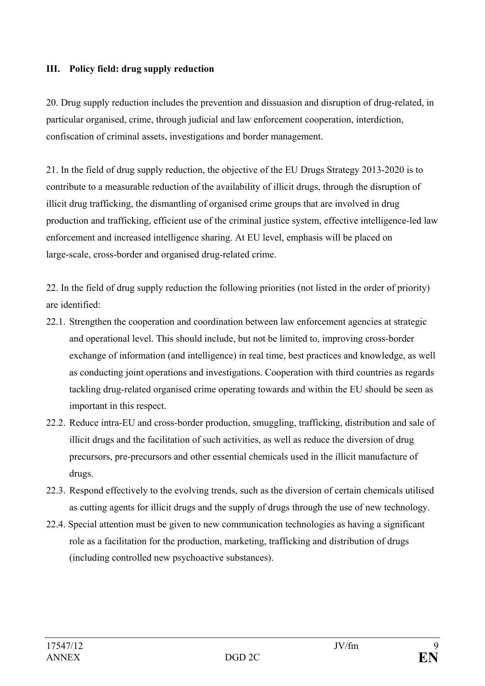### **III. Policy field: drug supply reduction**

20. Drug supply reduction includes the prevention and dissuasion and disruption of drug-related, in particular organised, crime, through judicial and law enforcement cooperation, interdiction, confiscation of criminal assets, investigations and border management.

21. In the field of drug supply reduction, the objective of the EU Drugs Strategy 2013-2020 is to contribute to a measurable reduction of the availability of illicit drugs, through the disruption of illicit drug trafficking, the dismantling of organised crime groups that are involved in drug production and trafficking, efficient use of the criminal justice system, effective intelligence-led law enforcement and increased intelligence sharing. At EU level, emphasis will be placed on large-scale, cross-border and organised drug-related crime.

22. In the field of drug supply reduction the following priorities (not listed in the order of priority) are identified:

- 22.1. Strengthen the cooperation and coordination between law enforcement agencies at strategic and operational level. This should include, but not be limited to, improving cross-border exchange of information (and intelligence) in real time, best practices and knowledge, as well as conducting joint operations and investigations. Cooperation with third countries as regards tackling drug-related organised crime operating towards and within the EU should be seen as important in this respect.
- 22.2. Reduce intra-EU and cross-border production, smuggling, trafficking, distribution and sale of illicit drugs and the facilitation of such activities, as well as reduce the diversion of drug precursors, pre-precursors and other essential chemicals used in the illicit manufacture of drugs.
- 22.3. Respond effectively to the evolving trends, such as the diversion of certain chemicals utilised as cutting agents for illicit drugs and the supply of drugs through the use of new technology.
- 22.4. Special attention must be given to new communication technologies as having a significant role as a facilitation for the production, marketing, trafficking and distribution of drugs (including controlled new psychoactive substances).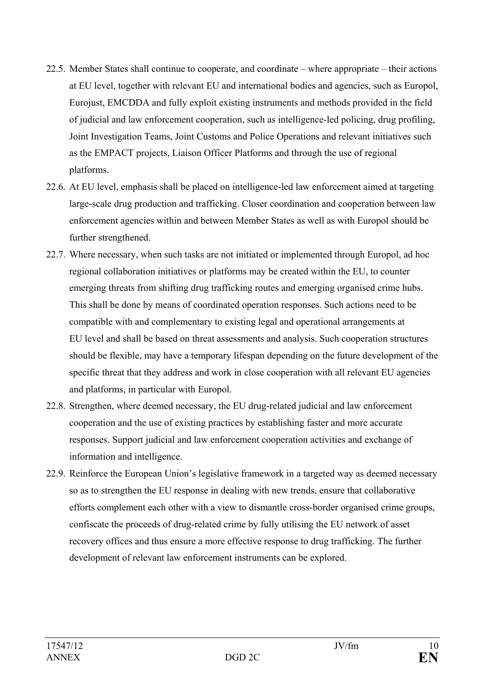- 22.5. Member States shall continue to cooperate, and coordinate where appropriate their actions at EU level, together with relevant EU and international bodies and agencies, such as Europol, Eurojust, EMCDDA and fully exploit existing instruments and methods provided in the field of judicial and law enforcement cooperation, such as intelligence-led policing, drug profiling, Joint Investigation Teams, Joint Customs and Police Operations and relevant initiatives such as the EMPACT projects, Liaison Officer Platforms and through the use of regional platforms.
- 22.6. At EU level, emphasis shall be placed on intelligence-led law enforcement aimed at targeting large-scale drug production and trafficking. Closer coordination and cooperation between law enforcement agencies within and between Member States as well as with Europol should be further strengthened.
- 22.7. Where necessary, when such tasks are not initiated or implemented through Europol, ad hoc regional collaboration initiatives or platforms may be created within the EU, to counter emerging threats from shifting drug trafficking routes and emerging organised crime hubs. This shall be done by means of coordinated operation responses. Such actions need to be compatible with and complementary to existing legal and operational arrangements at EU level and shall be based on threat assessments and analysis. Such cooperation structures should be flexible, may have a temporary lifespan depending on the future development of the specific threat that they address and work in close cooperation with all relevant EU agencies and platforms, in particular with Europol.
- 22.8. Strengthen, where deemed necessary, the EU drug-related judicial and law enforcement cooperation and the use of existing practices by establishing faster and more accurate responses. Support judicial and law enforcement cooperation activities and exchange of information and intelligence.
- 22.9. Reinforce the European Union's legislative framework in a targeted way as deemed necessary so as to strengthen the EU response in dealing with new trends, ensure that collaborative efforts complement each other with a view to dismantle cross-border organised crime groups, confiscate the proceeds of drug-related crime by fully utilising the EU network of asset recovery offices and thus ensure a more effective response to drug trafficking. The further development of relevant law enforcement instruments can be explored.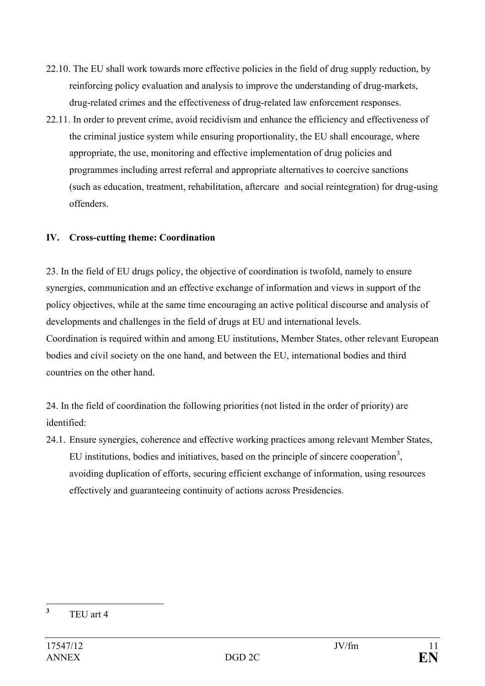- 22.10. The EU shall work towards more effective policies in the field of drug supply reduction, by reinforcing policy evaluation and analysis to improve the understanding of drug-markets, drug-related crimes and the effectiveness of drug-related law enforcement responses.
- 22.11. In order to prevent crime, avoid recidivism and enhance the efficiency and effectiveness of the criminal justice system while ensuring proportionality, the EU shall encourage, where appropriate, the use, monitoring and effective implementation of drug policies and programmes including arrest referral and appropriate alternatives to coercive sanctions (such as education, treatment, rehabilitation, aftercare and social reintegration) for drug-using offenders.

## **IV. Cross-cutting theme: Coordination**

23. In the field of EU drugs policy, the objective of coordination is twofold, namely to ensure synergies, communication and an effective exchange of information and views in support of the policy objectives, while at the same time encouraging an active political discourse and analysis of developments and challenges in the field of drugs at EU and international levels. Coordination is required within and among EU institutions, Member States, other relevant European bodies and civil society on the one hand, and between the EU, international bodies and third countries on the other hand.

24. In the field of coordination the following priorities (not listed in the order of priority) are identified:

24.1. Ensure synergies, coherence and effective working practices among relevant Member States, EU institutions, bodies and initiatives, based on the principle of sincere cooperation<sup>[3](#page-10-0)</sup>, avoiding duplication of efforts, securing efficient exchange of information, using resources effectively and guaranteeing continuity of actions across Presidencies.

<span id="page-10-0"></span>**<sup>3</sup>** TEU art 4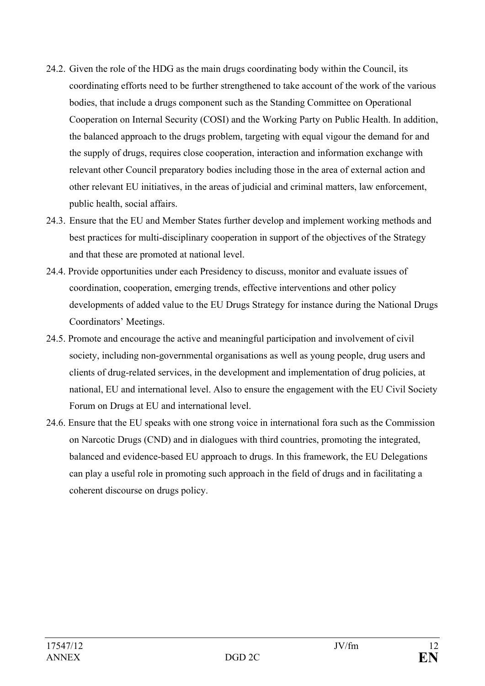- 24.2. Given the role of the HDG as the main drugs coordinating body within the Council, its coordinating efforts need to be further strengthened to take account of the work of the various bodies, that include a drugs component such as the Standing Committee on Operational Cooperation on Internal Security (COSI) and the Working Party on Public Health. In addition, the balanced approach to the drugs problem, targeting with equal vigour the demand for and the supply of drugs, requires close cooperation, interaction and information exchange with relevant other Council preparatory bodies including those in the area of external action and other relevant EU initiatives, in the areas of judicial and criminal matters, law enforcement, public health, social affairs.
- 24.3. Ensure that the EU and Member States further develop and implement working methods and best practices for multi-disciplinary cooperation in support of the objectives of the Strategy and that these are promoted at national level.
- 24.4. Provide opportunities under each Presidency to discuss, monitor and evaluate issues of coordination, cooperation, emerging trends, effective interventions and other policy developments of added value to the EU Drugs Strategy for instance during the National Drugs Coordinators' Meetings.
- 24.5. Promote and encourage the active and meaningful participation and involvement of civil society, including non-governmental organisations as well as young people, drug users and clients of drug-related services, in the development and implementation of drug policies, at national, EU and international level. Also to ensure the engagement with the EU Civil Society Forum on Drugs at EU and international level.
- 24.6. Ensure that the EU speaks with one strong voice in international fora such as the Commission on Narcotic Drugs (CND) and in dialogues with third countries, promoting the integrated, balanced and evidence-based EU approach to drugs. In this framework, the EU Delegations can play a useful role in promoting such approach in the field of drugs and in facilitating a coherent discourse on drugs policy.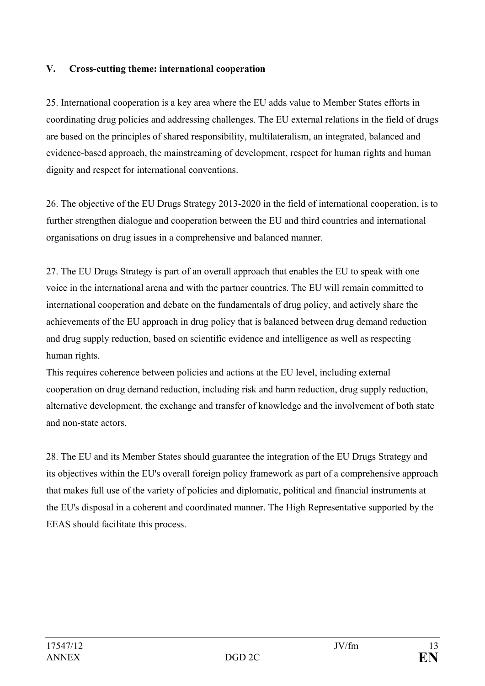### **V. Cross-cutting theme: international cooperation**

25. International cooperation is a key area where the EU adds value to Member States efforts in coordinating drug policies and addressing challenges. The EU external relations in the field of drugs are based on the principles of shared responsibility, multilateralism, an integrated, balanced and evidence-based approach, the mainstreaming of development, respect for human rights and human dignity and respect for international conventions.

26. The objective of the EU Drugs Strategy 2013-2020 in the field of international cooperation, is to further strengthen dialogue and cooperation between the EU and third countries and international organisations on drug issues in a comprehensive and balanced manner.

27. The EU Drugs Strategy is part of an overall approach that enables the EU to speak with one voice in the international arena and with the partner countries. The EU will remain committed to international cooperation and debate on the fundamentals of drug policy, and actively share the achievements of the EU approach in drug policy that is balanced between drug demand reduction and drug supply reduction, based on scientific evidence and intelligence as well as respecting human rights.

This requires coherence between policies and actions at the EU level, including external cooperation on drug demand reduction, including risk and harm reduction, drug supply reduction, alternative development, the exchange and transfer of knowledge and the involvement of both state and non-state actors.

28. The EU and its Member States should guarantee the integration of the EU Drugs Strategy and its objectives within the EU's overall foreign policy framework as part of a comprehensive approach that makes full use of the variety of policies and diplomatic, political and financial instruments at the EU's disposal in a coherent and coordinated manner. The High Representative supported by the EEAS should facilitate this process.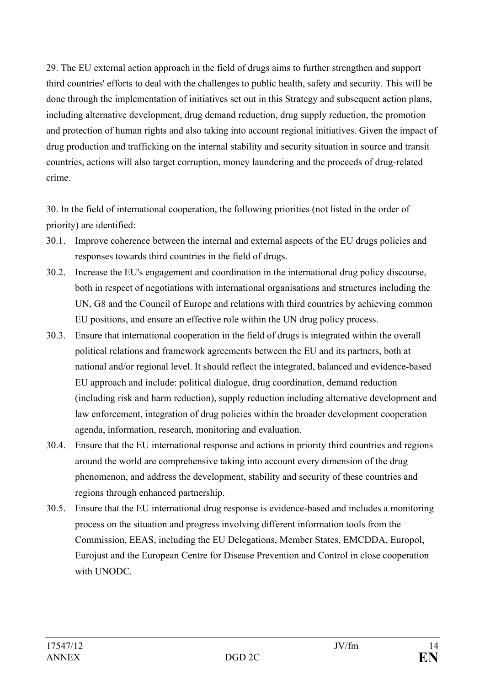29. The EU external action approach in the field of drugs aims to further strengthen and support third countries' efforts to deal with the challenges to public health, safety and security. This will be done through the implementation of initiatives set out in this Strategy and subsequent action plans, including alternative development, drug demand reduction, drug supply reduction, the promotion and protection of human rights and also taking into account regional initiatives. Given the impact of drug production and trafficking on the internal stability and security situation in source and transit countries, actions will also target corruption, money laundering and the proceeds of drug-related crime.

30. In the field of international cooperation, the following priorities (not listed in the order of priority) are identified:

- 30.1. Improve coherence between the internal and external aspects of the EU drugs policies and responses towards third countries in the field of drugs.
- 30.2. Increase the EU's engagement and coordination in the international drug policy discourse, both in respect of negotiations with international organisations and structures including the UN, G8 and the Council of Europe and relations with third countries by achieving common EU positions, and ensure an effective role within the UN drug policy process.
- 30.3. Ensure that international cooperation in the field of drugs is integrated within the overall political relations and framework agreements between the EU and its partners, both at national and/or regional level. It should reflect the integrated, balanced and evidence-based EU approach and include: political dialogue, drug coordination, demand reduction (including risk and harm reduction), supply reduction including alternative development and law enforcement, integration of drug policies within the broader development cooperation agenda, information, research, monitoring and evaluation.
- 30.4. Ensure that the EU international response and actions in priority third countries and regions around the world are comprehensive taking into account every dimension of the drug phenomenon, and address the development, stability and security of these countries and regions through enhanced partnership.
- 30.5. Ensure that the EU international drug response is evidence-based and includes a monitoring process on the situation and progress involving different information tools from the Commission, EEAS, including the EU Delegations, Member States, EMCDDA, Europol, Eurojust and the European Centre for Disease Prevention and Control in close cooperation with UNODC.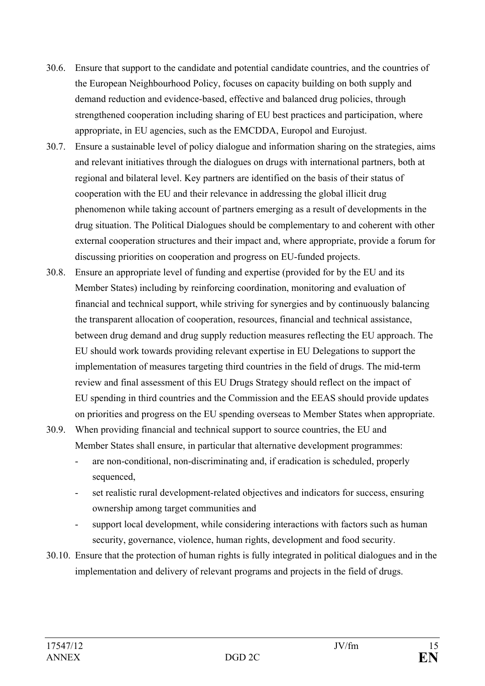- 30.6. Ensure that support to the candidate and potential candidate countries, and the countries of the European Neighbourhood Policy, focuses on capacity building on both supply and demand reduction and evidence-based, effective and balanced drug policies, through strengthened cooperation including sharing of EU best practices and participation, where appropriate, in EU agencies, such as the EMCDDA, Europol and Eurojust.
- 30.7. Ensure a sustainable level of policy dialogue and information sharing on the strategies, aims and relevant initiatives through the dialogues on drugs with international partners, both at regional and bilateral level. Key partners are identified on the basis of their status of cooperation with the EU and their relevance in addressing the global illicit drug phenomenon while taking account of partners emerging as a result of developments in the drug situation. The Political Dialogues should be complementary to and coherent with other external cooperation structures and their impact and, where appropriate, provide a forum for discussing priorities on cooperation and progress on EU-funded projects.
- 30.8. Ensure an appropriate level of funding and expertise (provided for by the EU and its Member States) including by reinforcing coordination, monitoring and evaluation of financial and technical support, while striving for synergies and by continuously balancing the transparent allocation of cooperation, resources, financial and technical assistance, between drug demand and drug supply reduction measures reflecting the EU approach. The EU should work towards providing relevant expertise in EU Delegations to support the implementation of measures targeting third countries in the field of drugs. The mid-term review and final assessment of this EU Drugs Strategy should reflect on the impact of EU spending in third countries and the Commission and the EEAS should provide updates on priorities and progress on the EU spending overseas to Member States when appropriate.
- 30.9. When providing financial and technical support to source countries, the EU and Member States shall ensure, in particular that alternative development programmes:
	- are non-conditional, non-discriminating and, if eradication is scheduled, properly sequenced,
	- set realistic rural development-related objectives and indicators for success, ensuring ownership among target communities and
	- support local development, while considering interactions with factors such as human security, governance, violence, human rights, development and food security.
- 30.10. Ensure that the protection of human rights is fully integrated in political dialogues and in the implementation and delivery of relevant programs and projects in the field of drugs.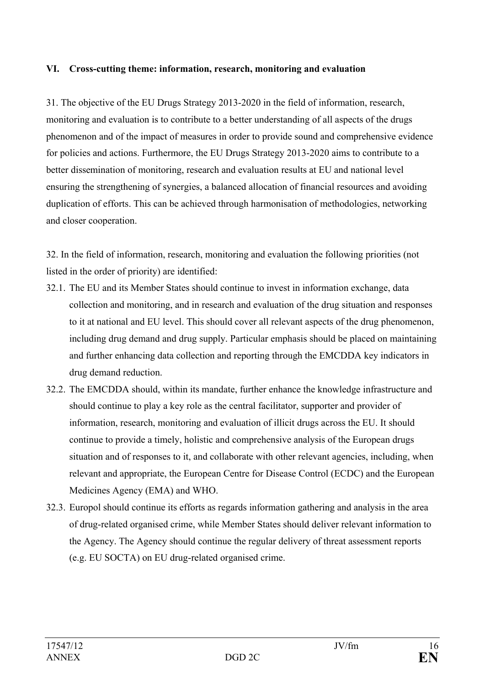#### **VI. Cross-cutting theme: information, research, monitoring and evaluation**

31. The objective of the EU Drugs Strategy 2013-2020 in the field of information, research, monitoring and evaluation is to contribute to a better understanding of all aspects of the drugs phenomenon and of the impact of measures in order to provide sound and comprehensive evidence for policies and actions. Furthermore, the EU Drugs Strategy 2013-2020 aims to contribute to a better dissemination of monitoring, research and evaluation results at EU and national level ensuring the strengthening of synergies, a balanced allocation of financial resources and avoiding duplication of efforts. This can be achieved through harmonisation of methodologies, networking and closer cooperation.

32. In the field of information, research, monitoring and evaluation the following priorities (not listed in the order of priority) are identified:

- 32.1. The EU and its Member States should continue to invest in information exchange, data collection and monitoring, and in research and evaluation of the drug situation and responses to it at national and EU level. This should cover all relevant aspects of the drug phenomenon, including drug demand and drug supply. Particular emphasis should be placed on maintaining and further enhancing data collection and reporting through the EMCDDA key indicators in drug demand reduction.
- 32.2. The EMCDDA should, within its mandate, further enhance the knowledge infrastructure and should continue to play a key role as the central facilitator, supporter and provider of information, research, monitoring and evaluation of illicit drugs across the EU. It should continue to provide a timely, holistic and comprehensive analysis of the European drugs situation and of responses to it, and collaborate with other relevant agencies, including, when relevant and appropriate, the European Centre for Disease Control (ECDC) and the European Medicines Agency (EMA) and WHO.
- 32.3. Europol should continue its efforts as regards information gathering and analysis in the area of drug-related organised crime, while Member States should deliver relevant information to the Agency. The Agency should continue the regular delivery of threat assessment reports (e.g. EU SOCTA) on EU drug-related organised crime.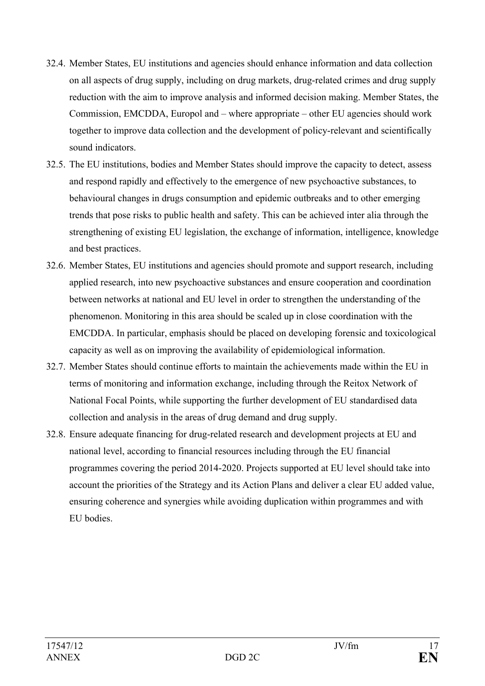- 32.4. Member States, EU institutions and agencies should enhance information and data collection on all aspects of drug supply, including on drug markets, drug-related crimes and drug supply reduction with the aim to improve analysis and informed decision making. Member States, the Commission, EMCDDA, Europol and – where appropriate – other EU agencies should work together to improve data collection and the development of policy-relevant and scientifically sound indicators
- 32.5. The EU institutions, bodies and Member States should improve the capacity to detect, assess and respond rapidly and effectively to the emergence of new psychoactive substances, to behavioural changes in drugs consumption and epidemic outbreaks and to other emerging trends that pose risks to public health and safety. This can be achieved inter alia through the strengthening of existing EU legislation, the exchange of information, intelligence, knowledge and best practices.
- 32.6. Member States, EU institutions and agencies should promote and support research, including applied research, into new psychoactive substances and ensure cooperation and coordination between networks at national and EU level in order to strengthen the understanding of the phenomenon. Monitoring in this area should be scaled up in close coordination with the EMCDDA. In particular, emphasis should be placed on developing forensic and toxicological capacity as well as on improving the availability of epidemiological information.
- 32.7. Member States should continue efforts to maintain the achievements made within the EU in terms of monitoring and information exchange, including through the Reitox Network of National Focal Points, while supporting the further development of EU standardised data collection and analysis in the areas of drug demand and drug supply.
- 32.8. Ensure adequate financing for drug-related research and development projects at EU and national level, according to financial resources including through the EU financial programmes covering the period 2014-2020. Projects supported at EU level should take into account the priorities of the Strategy and its Action Plans and deliver a clear EU added value, ensuring coherence and synergies while avoiding duplication within programmes and with EU bodies.